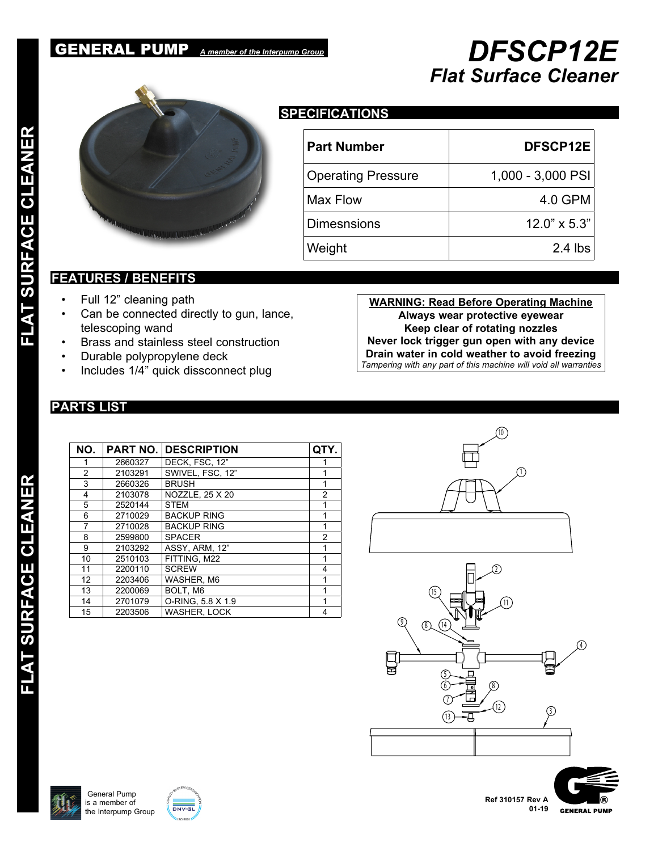## GENERAL PUMP *A member of the Interpump Group DFSCP12E*



## **SPECIFICATIONS**

| <b>Part Number</b>        | DFSCP12E            |
|---------------------------|---------------------|
| <b>Operating Pressure</b> | 1,000 - 3,000 PSI   |
| Max Flow                  | 4.0 GPM             |
| <b>Dimesnsions</b>        | $12.0" \times 5.3"$ |
| Weight                    | $2.4$ lbs           |

## **FEATURES / BENEFITS**

- Full 12" cleaning path
- Can be connected directly to gun, lance, telescoping wand
- Brass and stainless steel construction
- Durable polypropylene deck
- Includes 1/4" quick dissconnect plug

**WARNING: Read Before Operating Machine Always wear protective eyewear Keep clear of rotating nozzles Never lock trigger gun open with any device Drain water in cold weather to avoid freezing** *Tampering with any part of this machine will void all warranties*

*Flat Surface Cleaner*

## **PARTS LIST**

| NO. | <b>PART NO.</b> | <b>DESCRIPTION</b>  | QTY.           |
|-----|-----------------|---------------------|----------------|
|     | 2660327         | DECK. FSC. 12"      |                |
| 2   | 2103291         | SWIVEL, FSC, 12"    |                |
| 3   | 2660326         | <b>BRUSH</b>        |                |
| 4   | 2103078         | NOZZLE, 25 X 20     | 2              |
| 5   | 2520144         | <b>STEM</b>         |                |
| 6   | 2710029         | <b>BACKUP RING</b>  |                |
| 7   | 2710028         | <b>BACKUP RING</b>  |                |
| 8   | 2599800         | <b>SPACER</b>       | $\overline{2}$ |
| 9   | 2103292         | ASSY, ARM, 12"      |                |
| 10  | 2510103         | FITTING, M22        |                |
| 11  | 2200110         | <b>SCREW</b>        | 4              |
| 12  | 2203406         | WASHER, M6          |                |
| 13  | 2200069         | BOLT. M6            |                |
| 14  | 2701079         | O-RING, 5.8 X 1.9   |                |
| 15  | 2203506         | <b>WASHER, LOCK</b> |                |







**FLAT SURFACE CLEANER FLAT SURFACE CLEANER** FLAT SURFACE CLEANER

FLAT SURFACE CLEANER